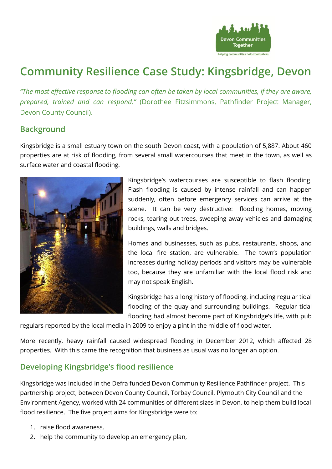

# **Community Resilience Case Study: Kingsbridge, Devon**

*"The most effective response to flooding can often be taken by local communities, if they are aware, prepared, trained and can respond."* (Dorothee Fitzsimmons, Pathfinder Project Manager, Devon County Council).

#### **Background**

Kingsbridge is a small estuary town on the south Devon coast, with a population of 5,887. About 460 properties are at risk of flooding, from several small watercourses that meet in the town, as well as surface water and coastal flooding.



Kingsbridge's watercourses are susceptible to flash flooding. Flash flooding is caused by intense rainfall and can happen suddenly, often before emergency services can arrive at the scene. It can be very destructive: flooding homes, moving rocks, tearing out trees, sweeping away vehicles and damaging buildings, walls and bridges.

Homes and businesses, such as pubs, restaurants, shops, and the local fire station, are vulnerable. The town's population increases during holiday periods and visitors may be vulnerable too, because they are unfamiliar with the local flood risk and may not speak English.

Kingsbridge has a long history of flooding, including regular tidal flooding of the quay and surrounding buildings. Regular tidal flooding had almost become part of Kingsbridge's life, with pub

regulars reported by the local media in 2009 to enjoy a pint in the middle of flood water.

More recently, heavy rainfall caused widespread flooding in December 2012, which affected 28 properties. With this came the recognition that business as usual was no longer an option.

### **Developing Kingsbridge's flood resilience**

Kingsbridge was included in the Defra funded Devon Community Resilience Pathfinder project. This partnership project, between Devon County Council, Torbay Council, Plymouth City Council and the Environment Agency, worked with 24 communities of different sizes in Devon, to help them build local flood resilience. The five project aims for Kingsbridge were to:

- 1. raise flood awareness,
- 2. help the community to develop an emergency plan,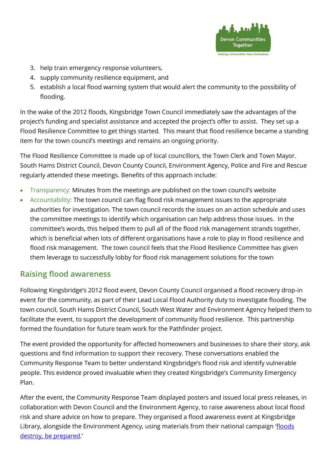

- 3. help train emergency response volunteers,
- 4. supply community resilience equipment, and
- 5. establish a local flood warning system that would alert the community to the possibility of flooding.

In the wake of the 2012 floods, Kingsbridge Town Council immediately saw the advantages of the project's funding and specialist assistance and accepted the project's offer to assist. They set up a Flood Resilience Committee to get things started. This meant that flood resilience became a standing item for the town council's meetings and remains an ongoing priority.

The Flood Resilience Committee is made up of local councillors, the Town Clerk and Town Mayor. South Hams District Council, Devon County Council, Environment Agency, Police and Fire and Rescue regularly attended these meetings. Benefits of this approach include:

- Transparency: Minutes from the meetings are published on the town council's website
- Accountability: The town council can flag flood risk management issues to the appropriate authorities for investigation. The town council records the issues on an action schedule and uses the committee meetings to identify which organisation can help address those issues. In the committee's words, this helped them to pull all of the flood risk management strands together, which is beneficial when lots of different organisations have a role to play in flood resilience and flood risk management. The town council feels that the Flood Resilience Committee has given them leverage to successfully lobby for flood risk management solutions for the town

### **Raising flood awareness**

Following Kingsbridge's 2012 flood event, Devon County Council organised a flood recovery drop-in event for the community, as part of their Lead Local Flood Authority duty to investigate flooding. The town council, South Hams District Council, South West Water and Environment Agency helped them to facilitate the event, to support the development of community flood resilience. This partnership formed the foundation for future team work for the Pathfinder project.

The event provided the opportunity for affected homeowners and businesses to share their story, ask questions and find information to support their recovery. These conversations enabled the Community Response Team to better understand Kingsbridge's flood risk and identify vulnerable people. This evidence proved invaluable when they created Kingsbridge's Community Emergency Plan.

After the event, the Community Response Team displayed posters and issued local press releases, in collaboration with Devon Council and the Environment Agency, to raise awareness about local flood risk and share advice on how to prepare. They organised a flood awareness event at Kingsbridge Library, alongside the Environment Agency, using materials from their national campaign 'floods [destroy, be prepared](http://www.gov.uk/floodsdestroy).'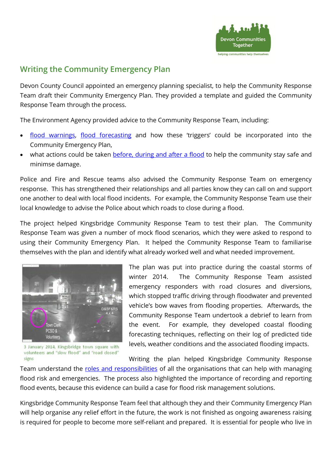

## **Writing the Community Emergency Plan**

Devon County Council appointed an emergency planning specialist, to help the Community Response Team draft their Community Emergency Plan. They provided a template and guided the Community Response Team through the process.

The Environment Agency provided advice to the Community Response Team, including:

- [flood warnings,](https://flood-warning-information.service.gov.uk/) [flood forecasting](http://apps.environment-agency.gov.uk/flood/3days/125305.aspx) and how these 'triggers' could be incorporated into the Community Emergency Plan,
- what actions could be taken [before, during and](https://www.gov.uk/government/publications/flooding-what-to-do-before-during-and-after-a-flood) after a flood to help the community stay safe and minimse damage.

Police and Fire and Rescue teams also advised the Community Response Team on emergency response. This has strengthened their relationships and all parties know they can call on and support one another to deal with local flood incidents. For example, the Community Response Team use their local knowledge to advise the Police about which roads to close during a flood.

The project helped Kingsbridge Community Response Team to test their plan. The Community Response Team was given a number of mock flood scenarios, which they were asked to respond to using their Community Emergency Plan. It helped the Community Response Team to familiarise themselves with the plan and identify what already worked well and what needed improvement.



3 January 2014, Kingsbridge town square with volunteers and "slow flood" and "road closed"  $sions$ 

The plan was put into practice during the coastal storms of winter 2014. The Community Response Team assisted emergency responders with road closures and diversions, which stopped traffic driving through floodwater and prevented vehicle's bow waves from flooding properties. Afterwards, the Community Response Team undertook a debrief to learn from the event. For example, they developed coastal flooding forecasting techniques, reflecting on their log of predicted tide levels, weather conditions and the associated flooding impacts.

Writing the plan helped Kingsbridge Community Response

Team understand the [roles and responsibilities](https://www.devoncommunities.org.uk/Handlers/Download.ashx?IDMF=d5f5a4f5-ece7-4863-ad6d-52ccdd8972a8) of all the organisations that can help with managing flood risk and emergencies. The process also highlighted the importance of recording and reporting flood events, because this evidence can build a case for flood risk management solutions.

Kingsbridge Community Response Team feel that although they and their Community Emergency Plan will help organise any relief effort in the future, the work is not finished as ongoing awareness raising is required for people to become more self-reliant and prepared. It is essential for people who live in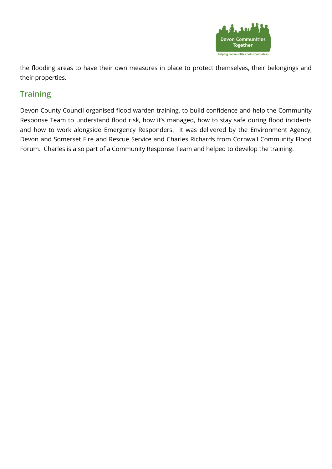

the flooding areas to have their own measures in place to protect themselves, their belongings and their properties.

# **Training**

Devon County Council organised flood warden training, to build confidence and help the Community Response Team to understand flood risk, how it's managed, how to stay safe during flood incidents and how to work alongside Emergency Responders. It was delivered by the Environment Agency, Devon and Somerset Fire and Rescue Service and Charles Richards from Cornwall Community Flood Forum. Charles is also part of a Community Response Team and helped to develop the training.